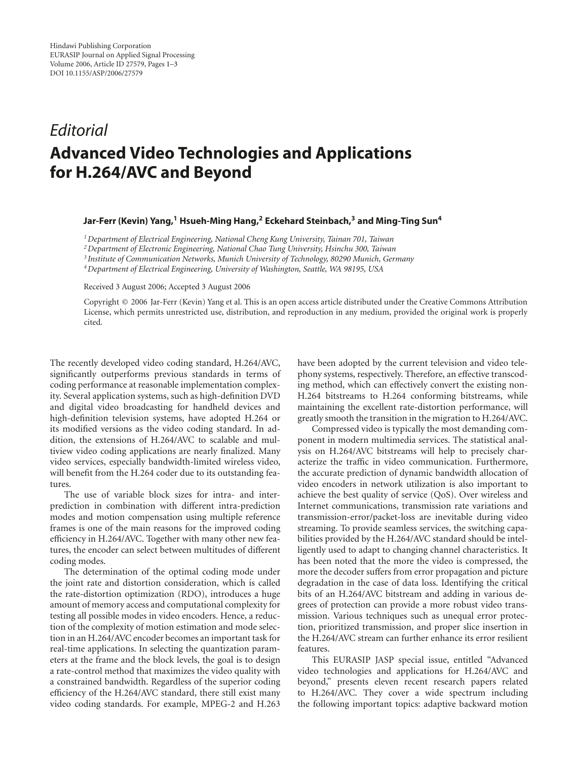## *Editorial* **Advanced Video Technologies and Applications for H.264/AVC and Beyond**

## **Jar-Ferr (Kevin) Yang,1 Hsueh-Ming Hang,2 Eckehard Steinbach,3 and Ming-Ting Sun4**

*1Department of Electrical Engineering, National Cheng Kung University, Tainan 701, Taiwan*

*2Department of Electronic Engineering, National Chao Tung University, Hsinchu 300, Taiwan*

*<sup>3</sup> Institute of Communication Networks, Munich University of Technology, 80290 Munich, Germany*

*4Department of Electrical Engineering, University of Washington, Seattle, WA 98195, USA*

Received 3 August 2006; Accepted 3 August 2006

Copyright © 2006 Jar-Ferr (Kevin) Yang et al. This is an open access article distributed under the Creative Commons Attribution License, which permits unrestricted use, distribution, and reproduction in any medium, provided the original work is properly cited.

The recently developed video coding standard, H.264/AVC, significantly outperforms previous standards in terms of coding performance at reasonable implementation complexity. Several application systems, such as high-definition DVD and digital video broadcasting for handheld devices and high-definition television systems, have adopted H.264 or its modified versions as the video coding standard. In addition, the extensions of H.264/AVC to scalable and multiview video coding applications are nearly finalized. Many video services, especially bandwidth-limited wireless video, will benefit from the H.264 coder due to its outstanding features.

The use of variable block sizes for intra- and interprediction in combination with different intra-prediction modes and motion compensation using multiple reference frames is one of the main reasons for the improved coding efficiency in H.264/AVC. Together with many other new features, the encoder can select between multitudes of different coding modes.

The determination of the optimal coding mode under the joint rate and distortion consideration, which is called the rate-distortion optimization (RDO), introduces a huge amount of memory access and computational complexity for testing all possible modes in video encoders. Hence, a reduction of the complexity of motion estimation and mode selection in an H.264/AVC encoder becomes an important task for real-time applications. In selecting the quantization parameters at the frame and the block levels, the goal is to design a rate-control method that maximizes the video quality with a constrained bandwidth. Regardless of the superior coding efficiency of the H.264/AVC standard, there still exist many video coding standards. For example, MPEG-2 and H.263

have been adopted by the current television and video telephony systems, respectively. Therefore, an effective transcoding method, which can effectively convert the existing non-H.264 bitstreams to H.264 conforming bitstreams, while maintaining the excellent rate-distortion performance, will greatly smooth the transition in the migration to H.264/AVC.

Compressed video is typically the most demanding component in modern multimedia services. The statistical analysis on H.264/AVC bitstreams will help to precisely characterize the traffic in video communication. Furthermore, the accurate prediction of dynamic bandwidth allocation of video encoders in network utilization is also important to achieve the best quality of service (QoS). Over wireless and Internet communications, transmission rate variations and transmission-error/packet-loss are inevitable during video streaming. To provide seamless services, the switching capabilities provided by the H.264/AVC standard should be intelligently used to adapt to changing channel characteristics. It has been noted that the more the video is compressed, the more the decoder suffers from error propagation and picture degradation in the case of data loss. Identifying the critical bits of an H.264/AVC bitstream and adding in various degrees of protection can provide a more robust video transmission. Various techniques such as unequal error protection, prioritized transmission, and proper slice insertion in the H.264/AVC stream can further enhance its error resilient features.

This EURASIP JASP special issue, entitled "Advanced video technologies and applications for H.264/AVC and beyond," presents eleven recent research papers related to H.264/AVC. They cover a wide spectrum including the following important topics: adaptive backward motion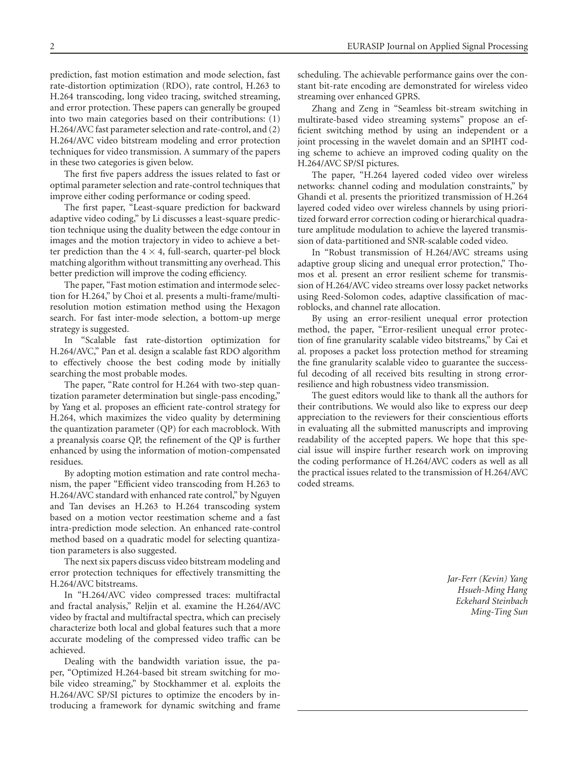prediction, fast motion estimation and mode selection, fast rate-distortion optimization (RDO), rate control, H.263 to H.264 transcoding, long video tracing, switched streaming, and error protection. These papers can generally be grouped into two main categories based on their contributions: (1) H.264/AVC fast parameter selection and rate-control, and (2) H.264/AVC video bitstream modeling and error protection techniques for video transmission. A summary of the papers in these two categories is given below.

The first five papers address the issues related to fast or optimal parameter selection and rate-control techniques that improve either coding performance or coding speed.

The first paper, "Least-square prediction for backward adaptive video coding," by Li discusses a least-square prediction technique using the duality between the edge contour in images and the motion trajectory in video to achieve a better prediction than the  $4 \times 4$ , full-search, quarter-pel block matching algorithm without transmitting any overhead. This better prediction will improve the coding efficiency.

The paper, "Fast motion estimation and intermode selection for H.264," by Choi et al. presents a multi-frame/multiresolution motion estimation method using the Hexagon search. For fast inter-mode selection, a bottom-up merge strategy is suggested.

In "Scalable fast rate-distortion optimization for H.264/AVC," Pan et al. design a scalable fast RDO algorithm to effectively choose the best coding mode by initially searching the most probable modes.

The paper, "Rate control for H.264 with two-step quantization parameter determination but single-pass encoding," by Yang et al. proposes an efficient rate-control strategy for H.264, which maximizes the video quality by determining the quantization parameter (QP) for each macroblock. With a preanalysis coarse QP, the refinement of the QP is further enhanced by using the information of motion-compensated residues.

By adopting motion estimation and rate control mechanism, the paper "Efficient video transcoding from H.263 to H.264/AVC standard with enhanced rate control," by Nguyen and Tan devises an H.263 to H.264 transcoding system based on a motion vector reestimation scheme and a fast intra-prediction mode selection. An enhanced rate-control method based on a quadratic model for selecting quantization parameters is also suggested.

The next six papers discuss video bitstream modeling and error protection techniques for effectively transmitting the H.264/AVC bitstreams.

In "H.264/AVC video compressed traces: multifractal and fractal analysis," Reljin et al. examine the H.264/AVC video by fractal and multifractal spectra, which can precisely characterize both local and global features such that a more accurate modeling of the compressed video traffic can be achieved.

Dealing with the bandwidth variation issue, the paper, "Optimized H.264-based bit stream switching for mobile video streaming," by Stockhammer et al. exploits the H.264/AVC SP/SI pictures to optimize the encoders by introducing a framework for dynamic switching and frame

scheduling. The achievable performance gains over the constant bit-rate encoding are demonstrated for wireless video streaming over enhanced GPRS.

Zhang and Zeng in "Seamless bit-stream switching in multirate-based video streaming systems" propose an efficient switching method by using an independent or a joint processing in the wavelet domain and an SPIHT coding scheme to achieve an improved coding quality on the H.264/AVC SP/SI pictures.

The paper, "H.264 layered coded video over wireless networks: channel coding and modulation constraints," by Ghandi et al. presents the prioritized transmission of H.264 layered coded video over wireless channels by using prioritized forward error correction coding or hierarchical quadrature amplitude modulation to achieve the layered transmission of data-partitioned and SNR-scalable coded video.

In "Robust transmission of H.264/AVC streams using adaptive group slicing and unequal error protection," Thomos et al. present an error resilient scheme for transmission of H.264/AVC video streams over lossy packet networks using Reed-Solomon codes, adaptive classification of macroblocks, and channel rate allocation.

By using an error-resilient unequal error protection method, the paper, "Error-resilient unequal error protection of fine granularity scalable video bitstreams," by Cai et al. proposes a packet loss protection method for streaming the fine granularity scalable video to guarantee the successful decoding of all received bits resulting in strong errorresilience and high robustness video transmission.

The guest editors would like to thank all the authors for their contributions. We would also like to express our deep appreciation to the reviewers for their conscientious efforts in evaluating all the submitted manuscripts and improving readability of the accepted papers. We hope that this special issue will inspire further research work on improving the coding performance of H.264/AVC coders as well as all the practical issues related to the transmission of H.264/AVC coded streams.

> *Jar-Ferr (Kevin) Yang Hsueh-Ming Hang Eckehard Steinbach Ming-Ting Sun*